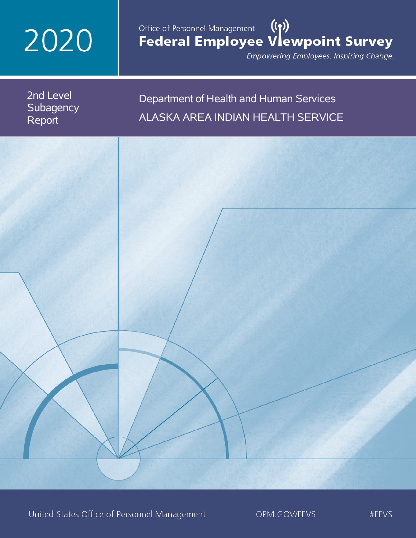# 2020

## Office of Personnel Management (())<br>Federal Employee Vlewpoint Survey

Empowering Employees. Inspiring Change.

2nd Level **Subagency** Report

## Department of Health and Human Services ALASKA AREA INDIAN HEALTH SERVICE

United States Office of Personnel Management

OPM.GOV/FEVS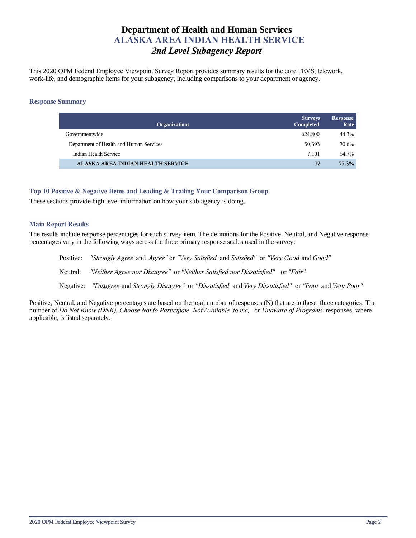## **Department of Health and Human Services ALASKA AREA INDIAN HEALTH SERVICE** *2nd Level Subagency Report*

This 2020 OPM Federal Employee Viewpoint Survey Report provides summary results for the core FEVS, telework, work-life, and demographic items for your subagency, including comparisons to your department or agency.

#### **Response Summary**

| <b>Organizations</b>                    | <b>Surveys</b><br>Completed | <b>Response</b><br>Rate |
|-----------------------------------------|-----------------------------|-------------------------|
| Governmentwide                          | 624.800                     | 44.3%                   |
| Department of Health and Human Services | 50,393                      | 70.6%                   |
| Indian Health Service                   | 7.101                       | 54.7%                   |
| ALASKA AREA INDIAN HEALTH SERVICE       | 17                          | 77.3%                   |

#### **Top 10 Positive & Negative Items and Leading & Trailing Your Comparison Group**

These sections provide high level information on how your sub-agency is doing.

#### **Main Report Results**

The results include response percentages for each survey item. The definitions for the Positive, Neutral, and Negative response percentages vary in the following ways across the three primary response scales used in the survey:

Positive: *"Strongly Agree* and *Agree"* or *"Very Satisfied* and *Satisfied"* or *"Very Good* and *Good"* Neutral: *"Neither Agree nor Disagree"* or *"Neither Satisfied nor Dissatisfied"* or *"Fair"* Negative: *"Disagree* and *Strongly Disagree"* or *"Dissatisfied* and *Very Dissatisfied"* or *"Poor* and *Very Poor"*

Positive, Neutral, and Negative percentages are based on the total number of responses (N) that are in these three categories. The number of *Do Not Know (DNK), Choose Not to Participate, Not Available to me,* or *Unaware of Programs* responses, where applicable, is listed separately.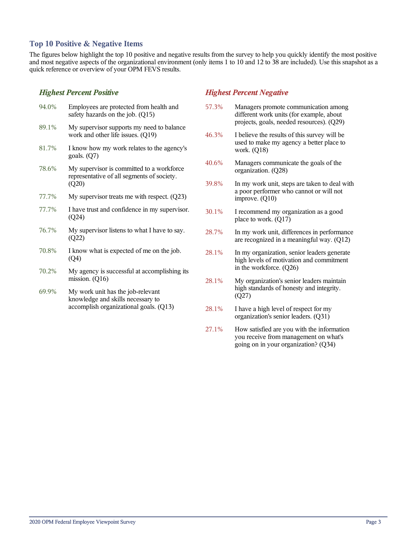#### **Top 10 Positive & Negative Items**

The figures below highlight the top 10 positive and negative results from the survey to help you quickly identify the most positive and most negative aspects of the organizational environment (only items 1 to 10 and 12 to 38 are included). Use this snapshot as a quick reference or overview of your OPM FEVS results.

#### *Highest Percent Positive*

| 94.0% | Employees are protected from health and<br>safety hazards on the job. (Q15)                                      |
|-------|------------------------------------------------------------------------------------------------------------------|
| 89.1% | My supervisor supports my need to balance<br>work and other life issues. (Q19)                                   |
| 81.7% | I know how my work relates to the agency's<br>goals. (Q7)                                                        |
| 78.6% | My supervisor is committed to a workforce.<br>representative of all segments of society.<br>(Q20)                |
| 77.7% | My supervisor treats me with respect. $(Q23)$                                                                    |
| 77.7% | I have trust and confidence in my supervisor.<br>(Q24)                                                           |
| 76.7% | My supervisor listens to what I have to say.<br>(Q22)                                                            |
| 70.8% | I know what is expected of me on the job.<br>(Q4)                                                                |
| 70.2% | My agency is successful at accomplishing its<br>mission. $(Q16)$                                                 |
| 69.9% | My work unit has the job-relevant<br>knowledge and skills necessary to<br>accomplish organizational goals. (Q13) |

### *Highest Percent Negative*

- 57.3% Managers promote communication among different work units (for example, about projects, goals, needed resources). (Q29)
- 46.3% I believe the results of this survey will be used to make my agency a better place to work. (Q18)
- 40.6% Managers communicate the goals of the organization. (Q28)
- 39.8% In my work unit, steps are taken to deal with a poor performer who cannot or will not improve. (Q10)
- 30.1% I recommend my organization as a good place to work. (Q17)
- 28.7% In my work unit, differences in performance are recognized in a meaningful way. (Q12)
- 28.1% In my organization, senior leaders generate high levels of motivation and commitment in the workforce. (Q26)
- 28.1% My organization's senior leaders maintain high standards of honesty and integrity. (Q27)
- 28.1% I have a high level of respect for my organization's senior leaders. (Q31)
- 27.1% How satisfied are you with the information you receive from management on what's going on in your organization? (Q34)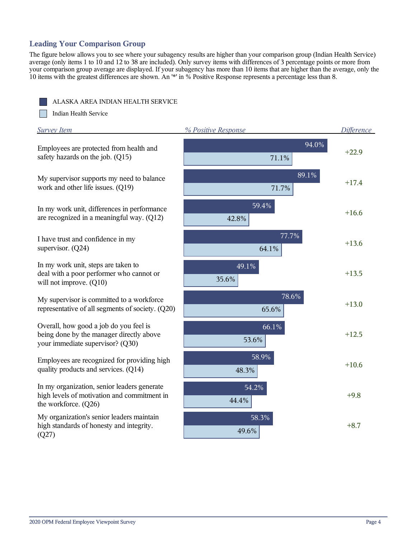## **Leading Your Comparison Group**

The figure below allows you to see where your subagency results are higher than your comparison group (Indian Health Service) average (only items 1 to 10 and 12 to 38 are included). Only survey items with differences of 3 percentage points or more from your comparison group average are displayed. If your subagency has more than 10 items that are higher than the average, only the 10 items with the greatest differences are shown. An '\*' in % Positive Response represents a percentage less than 8.

ALASKA AREA INDIAN HEALTH SERVICE

Indian Health Service

Г

| <b>Survey Item</b>                                                                                                     | % Positive Response | <b>Difference</b> |
|------------------------------------------------------------------------------------------------------------------------|---------------------|-------------------|
| Employees are protected from health and<br>safety hazards on the job. (Q15)                                            | 94.0%<br>71.1%      | $+22.9$           |
| My supervisor supports my need to balance<br>work and other life issues. (Q19)                                         | 89.1%<br>71.7%      | $+17.4$           |
| In my work unit, differences in performance<br>are recognized in a meaningful way. (Q12)                               | 59.4%<br>42.8%      | $+16.6$           |
| I have trust and confidence in my<br>supervisor. $(Q24)$                                                               | 77.7%<br>64.1%      | $+13.6$           |
| In my work unit, steps are taken to<br>deal with a poor performer who cannot or<br>will not improve. (Q10)             | 49.1%<br>35.6%      | $+13.5$           |
| My supervisor is committed to a workforce<br>representative of all segments of society. (Q20)                          | 78.6%<br>65.6%      | $+13.0$           |
| Overall, how good a job do you feel is<br>being done by the manager directly above<br>your immediate supervisor? (Q30) | 66.1%<br>53.6%      | $+12.5$           |
| Employees are recognized for providing high<br>quality products and services. (Q14)                                    | 58.9%<br>48.3%      | $+10.6$           |
| In my organization, senior leaders generate<br>high levels of motivation and commitment in<br>the workforce. (Q26)     | 54.2%<br>44.4%      | $+9.8$            |
| My organization's senior leaders maintain<br>high standards of honesty and integrity.<br>(Q27)                         | 58.3%<br>49.6%      | $+8.7$            |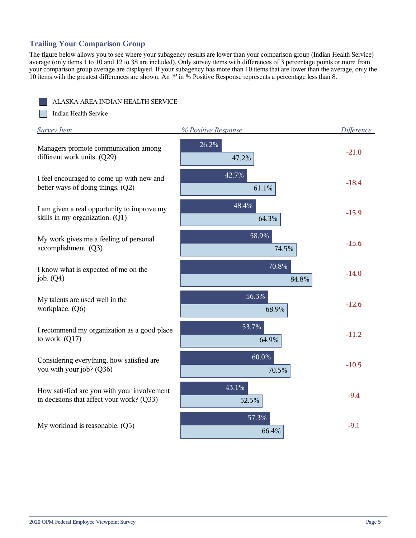## **Trailing Your Comparison Group**

The figure below allows you to see where your subagency results are lower than your comparison group (Indian Health Service) average (only items 1 to 10 and 12 to 38 are included). Only survey items with differences of 3 percentage points or more from your comparison group average are displayed. If your subagency has more than 10 items that are lower than the average, only the 10 items with the greatest differences are shown. An '\*' in % Positive Response represents a percentage less than 8.

| ALASKA AREA INDIAN HEALTH SERVICE |  |  |
|-----------------------------------|--|--|

m Indian Health Service

| <b>Survey Item</b>                                                                       | % Positive Response | <b>Difference</b> |
|------------------------------------------------------------------------------------------|---------------------|-------------------|
| Managers promote communication among<br>different work units. (Q29)                      | 26.2%<br>47.2%      | $-21.0$           |
| I feel encouraged to come up with new and<br>better ways of doing things. (Q2)           | 42.7%<br>61.1%      | $-18.4$           |
| I am given a real opportunity to improve my<br>skills in my organization. (Q1)           | 48.4%<br>64.3%      | $-15.9$           |
| My work gives me a feeling of personal<br>accomplishment. (Q3)                           | 58.9%<br>74.5%      | $-15.6$           |
| I know what is expected of me on the<br>job. $(Q4)$                                      | 70.8%<br>84.8%      | $-14.0$           |
| My talents are used well in the<br>workplace. (Q6)                                       | 56.3%<br>68.9%      | $-12.6$           |
| I recommend my organization as a good place<br>to work. $(Q17)$                          | 53.7%<br>64.9%      | $-11.2$           |
| Considering everything, how satisfied are<br>you with your job? (Q36)                    | 60.0%<br>70.5%      | $-10.5$           |
| How satisfied are you with your involvement<br>in decisions that affect your work? (Q33) | 43.1%<br>52.5%      | $-9.4$            |
| My workload is reasonable. (Q5)                                                          | 57.3%<br>66.4%      | $-9.1$            |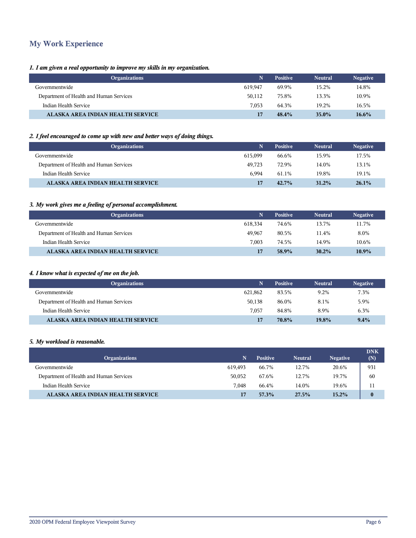## **My Work Experience**

#### *1. I am given a real opportunity to improve my skills in my organization.*

| <b>Organizations</b>                    | N       | <b>Positive</b> | <b>Neutral</b> | <b>Negative</b> |
|-----------------------------------------|---------|-----------------|----------------|-----------------|
| Governmentwide                          | 619.947 | 69.9%           | 15.2%          | 14.8%           |
| Department of Health and Human Services | 50,112  | 75.8%           | 13.3%          | 10.9%           |
| Indian Health Service                   | 7.053   | 64.3%           | 19.2%          | 16.5%           |
| ALASKA AREA INDIAN HEALTH SERVICE       | 17      | 48.4%           | $35.0\%$       | $16.6\%$        |

#### *2. I feel encouraged to come up with new and better ways of doing things.*

| <b>Organizations</b>                    |         | <b>Positive</b> | <b>Neutral</b> | <b>Negative</b> |
|-----------------------------------------|---------|-----------------|----------------|-----------------|
| Governmentwide                          | 615.099 | 66.6%           | 15.9%          | 17.5%           |
| Department of Health and Human Services | 49.723  | 72.9%           | 14.0%          | 13.1%           |
| Indian Health Service                   | 6.994   | 61.1%           | 19.8%          | 19.1%           |
| ALASKA AREA INDIAN HEALTH SERVICE       | 17      | $42.7\%$        | $31.2\%$       | $26.1\%$        |

#### *3. My work gives me a feeling of personal accomplishment.*

| <b>Organizations</b>                    | N       | <b>Positive</b> | <b>Neutral</b> | <b>Negative</b> |
|-----------------------------------------|---------|-----------------|----------------|-----------------|
| Governmentwide                          | 618.334 | 74.6%           | 13.7%          | 11.7%           |
| Department of Health and Human Services | 49.967  | 80.5%           | 11.4%          | 8.0%            |
| Indian Health Service                   | 7.003   | 74.5%           | 14.9%          | 10.6%           |
| ALASKA AREA INDIAN HEALTH SERVICE       | 17      | 58.9%           | $30.2\%$       | $10.9\%$        |

#### *4. I know what is expected of me on the job.*

| <b>Organizations</b>                    | N       | <b>Positive</b> | <b>Neutral</b> | <b>Negative</b> |
|-----------------------------------------|---------|-----------------|----------------|-----------------|
| Governmentwide                          | 621.862 | 83.5%           | 9.2%           | 7.3%            |
| Department of Health and Human Services | 50,138  | 86.0%           | 8.1%           | 5.9%            |
| Indian Health Service                   | 7.057   | 84.8%           | 8.9%           | 6.3%            |
| ALASKA AREA INDIAN HEALTH SERVICE       | 17      | 70.8%           | 19.8%          | $9.4\%$         |

#### *5. My workload is reasonable.*

| <b>Organizations</b>                    | N.      | <b>Positive</b> | <b>Neutral</b> | <b>Negative</b> | <b>DNK</b><br>(N) |
|-----------------------------------------|---------|-----------------|----------------|-----------------|-------------------|
| Governmentwide                          | 619.493 | 66.7%           | 12.7%          | 20.6%           | 931               |
| Department of Health and Human Services | 50,052  | 67.6%           | 12.7%          | 19.7%           | 60                |
| Indian Health Service                   | 7.048   | 66.4%           | 14.0%          | 19.6%           | 11                |
| ALASKA AREA INDIAN HEALTH SERVICE       |         | 57.3%           | 27.5%          | 15.2%           | $\bf{0}$          |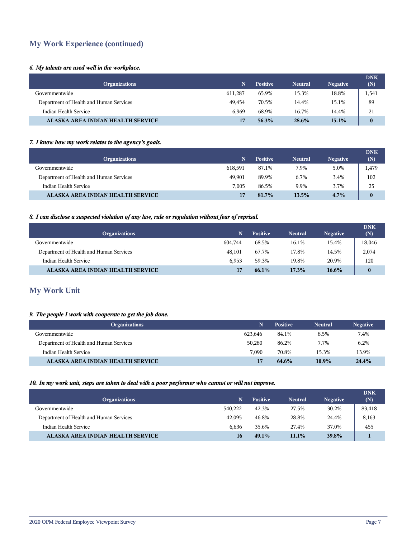## **My Work Experience (continued)**

#### *6. My talents are used well in the workplace.*

| <b>Organizations</b>                    |         | <b>Positive</b> | <b>Neutral</b> | <b>Negative</b> | <b>DNK</b><br>(N) |
|-----------------------------------------|---------|-----------------|----------------|-----------------|-------------------|
| Governmentwide                          | 611.287 | 65.9%           | 15.3%          | 18.8%           | 1,541             |
| Department of Health and Human Services | 49.454  | 70.5%           | 14.4%          | 15.1%           | 89                |
| Indian Health Service                   | 6.969   | 68.9%           | 16.7%          | 14.4%           | 21                |
| ALASKA AREA INDIAN HEALTH SERVICE       |         | 56.3%           | $28.6\%$       | $15.1\%$        | $\bf{0}$          |

#### *7. I know how my work relates to the agency's goals.*

| <b>Organizations</b>                    |         | <b>Positive</b> | <b>Neutral</b> | <b>Negative</b> | <b>DNK</b><br>(N) |
|-----------------------------------------|---------|-----------------|----------------|-----------------|-------------------|
| Governmentwide                          | 618.591 | 87.1%           | 7.9%           | 5.0%            | 1,479             |
| Department of Health and Human Services | 49.901  | 89.9%           | 6.7%           | 3.4%            | 102               |
| Indian Health Service                   | 7.005   | 86.5%           | 9.9%           | 3.7%            | 25                |
| ALASKA AREA INDIAN HEALTH SERVICE       |         | 81.7%           | 13.5%          | 4.7%            | $\bf{0}$          |

#### *8. I can disclose a suspected violation of any law, rule or regulation without fear of reprisal.*

| <b>Organizations</b>                    | N       | <b>Positive</b> | <b>Neutral</b> | <b>Negative</b> | <b>DNK</b><br>(N) |
|-----------------------------------------|---------|-----------------|----------------|-----------------|-------------------|
| Governmentwide                          | 604.744 | 68.5%           | 16.1%          | 15.4%           | 18,046            |
| Department of Health and Human Services | 48.101  | 67.7%           | 17.8%          | 14.5%           | 2,074             |
| Indian Health Service                   | 6.953   | 59.3%           | 19.8%          | 20.9%           | 120               |
| ALASKA AREA INDIAN HEALTH SERVICE       | 17      | 66.1%           | 17.3%          | 16.6%           | $\bf{0}$          |

## **My Work Unit**

#### *9. The people I work with cooperate to get the job done.*

| <b>Organizations</b>                    |         | <b>Positive</b> | <b>Neutral</b> | <b>Negative</b> |
|-----------------------------------------|---------|-----------------|----------------|-----------------|
| Governmentwide                          | 623.646 | 84.1%           | 8.5%           | 7.4%            |
| Department of Health and Human Services | 50.280  | 86.2%           | 7.7%           | 6.2%            |
| Indian Health Service                   | 7.090   | 70.8%           | 15.3%          | 13.9%           |
| ALASKA AREA INDIAN HEALTH SERVICE       | 17      | $64.6\%$        | $10.9\%$       | 24.4%           |

#### *10. In my work unit, steps are taken to deal with a poor performer who cannot or will not improve.*

| <b>Organizations</b>                    | N       | <b>Positive</b> | <b>Neutral</b> | <b>Negative</b> | <b>DNK</b><br>(N) |
|-----------------------------------------|---------|-----------------|----------------|-----------------|-------------------|
| Governmentwide                          | 540,222 | 42.3%           | 27.5%          | 30.2%           | 83,418            |
| Department of Health and Human Services | 42,095  | 46.8%           | 28.8%          | 24.4%           | 8,163             |
| Indian Health Service                   | 6.636   | 35.6%           | 27.4%          | 37.0%           | 455               |
| ALASKA AREA INDIAN HEALTH SERVICE       | 16      | 49.1%           | $11.1\%$       | 39.8%           |                   |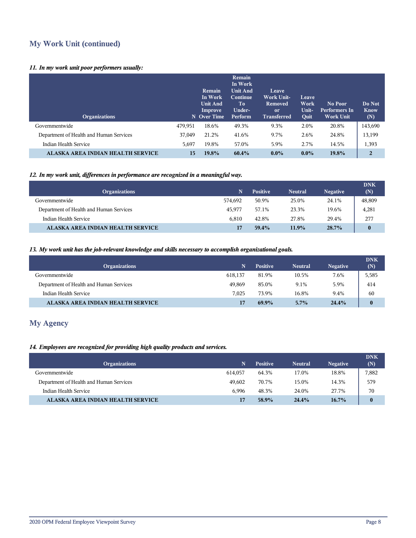## **My Work Unit (continued)**

#### *11. In my work unit poor performers usually:*

| <b>Organizations</b>                    |         | Remain<br>In Work<br><b>Unit And</b><br>Improve<br>N Over Time | Remain<br>In Work<br><b>Unit And</b><br>Continue<br>T <sub>0</sub><br>Under-<br>Perform | Leave<br><b>Work Unit-</b><br><b>Removed</b><br><sub>or</sub><br><b>Transferred</b> | Leave<br>Work<br>Unit-<br>Quit | No Poor<br><b>Performers In</b><br><b>Work Unit</b> | Do Not<br><b>Know</b><br>(N) |
|-----------------------------------------|---------|----------------------------------------------------------------|-----------------------------------------------------------------------------------------|-------------------------------------------------------------------------------------|--------------------------------|-----------------------------------------------------|------------------------------|
| Governmentwide                          | 479,951 | 18.6%                                                          | 49.3%                                                                                   | 9.3%                                                                                | 2.0%                           | 20.8%                                               | 143,690                      |
| Department of Health and Human Services | 37,049  | 21.2%                                                          | 41.6%                                                                                   | 9.7%                                                                                | 2.6%                           | 24.8%                                               | 13,199                       |
| Indian Health Service                   | 5,697   | 19.8%                                                          | 57.0%                                                                                   | 5.9%                                                                                | 2.7%                           | 14.5%                                               | 1,393                        |
| ALASKA AREA INDIAN HEALTH SERVICE       | 15      | 19.8%                                                          | 60.4%                                                                                   | $0.0\%$                                                                             | $0.0\%$                        | 19.8%                                               | $\overline{2}$               |

#### *12. In my work unit, differences in performance are recognized in a meaningful way.*

| <b>Organizations</b>                    | N       | <b>Positive</b> | <b>Neutral</b> | <b>Negative</b> | <b>DNK</b><br>(N) |
|-----------------------------------------|---------|-----------------|----------------|-----------------|-------------------|
| Governmentwide                          | 574.692 | 50.9%           | 25.0%          | 24.1%           | 48,809            |
| Department of Health and Human Services | 45,977  | 57.1%           | 23.3%          | 19.6%           | 4,281             |
| Indian Health Service                   | 6.810   | 42.8%           | 27.8%          | 29.4%           | 277               |
| ALASKA AREA INDIAN HEALTH SERVICE       |         | 59.4%           | 11.9%          | 28.7%           | $\bf{0}$          |

#### *13. My work unit has the job-relevant knowledge and skills necessary to accomplish organizational goals.*

| <b>Organizations</b>                    | N       | <b>Positive</b> | <b>Neutral</b> | <b>Negative</b> | <b>DNK</b><br>(N) |
|-----------------------------------------|---------|-----------------|----------------|-----------------|-------------------|
| Governmentwide                          | 618.137 | 81.9%           | 10.5%          | 7.6%            | 5,585             |
| Department of Health and Human Services | 49,869  | 85.0%           | 9.1%           | 5.9%            | 414               |
| Indian Health Service                   | 7.025   | 73.9%           | 16.8%          | 9.4%            | 60                |
| ALASKA AREA INDIAN HEALTH SERVICE       |         | 69.9%           | $5.7\%$        | 24.4%           | $\bf{0}$          |

## **My Agency**

#### *14. Employees are recognized for providing high quality products and services.*

| <b>Organizations</b>                    |         | <b>Positive</b> | <b>Neutral</b> | <b>Negative</b> | <b>DNK</b><br>(N) |
|-----------------------------------------|---------|-----------------|----------------|-----------------|-------------------|
| Governmentwide                          | 614.057 | 64.3%           | 17.0%          | 18.8%           | 7,882             |
| Department of Health and Human Services | 49.602  | 70.7%           | 15.0%          | 14.3%           | 579               |
| Indian Health Service                   | 6.996   | 48.3%           | 24.0%          | 27.7%           | 70                |
| ALASKA AREA INDIAN HEALTH SERVICE       |         | 58.9%           | 24.4%          | $16.7\%$        | $\bf{0}$          |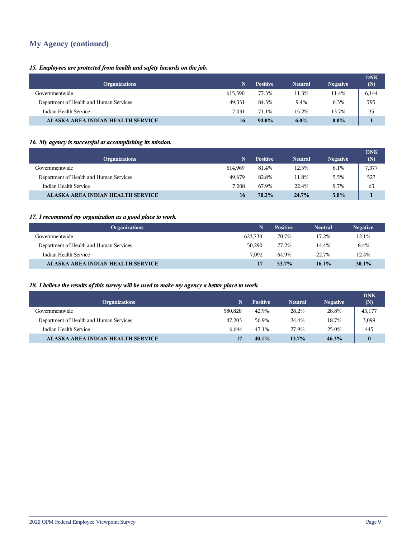## **My Agency (continued)**

#### *15. Employees are protected from health and safety hazards on the job.*

| <b>Organizations</b>                    |         | <b>Positive</b> | <b>Neutral</b> | <b>Negative</b> | <b>DNK</b><br>(N) |
|-----------------------------------------|---------|-----------------|----------------|-----------------|-------------------|
| Governmentwide                          | 615.590 | 77.3%           | 11.3%          | 11.4%           | 6,144             |
| Department of Health and Human Services | 49.331  | 84.3%           | 9.4%           | 6.3%            | 795               |
| Indian Health Service                   | 7.031   | 71.1%           | 15.2%          | 13.7%           | 35                |
| ALASKA AREA INDIAN HEALTH SERVICE       | 16      | 94.0%           | $6.0\%$        | $0.0\%$         |                   |

#### *16. My agency is successful at accomplishing its mission.*

| <b>Organizations</b>                     |         | <b>Positive</b> | <b>Neutral</b> | <b>Negative</b> | <b>DNK</b><br>(N) |
|------------------------------------------|---------|-----------------|----------------|-----------------|-------------------|
| Governmentwide                           | 614.969 | 81.4%           | 12.5%          | 6.1%            | 7,377             |
| Department of Health and Human Services  | 49.679  | 82.8%           | 11.8%          | 5.5%            | 527               |
| Indian Health Service                    | 7.008   | 67.9%           | 22.4%          | 9.7%            | 63                |
| <b>ALASKA AREA INDIAN HEALTH SERVICE</b> | 16      | $70.2\%$        | 24.7%          | $5.0\%$         |                   |

#### *17. I recommend my organization as a good place to work.*

| <b>Organizations</b>                    |         | <b>Positive</b> | <b>Neutral</b> | <b>Negative</b> |
|-----------------------------------------|---------|-----------------|----------------|-----------------|
| Governmentwide                          | 623.730 | 70.7%           | 17.2%          | 12.1%           |
| Department of Health and Human Services | 50.290  | 77.2%           | 14.4%          | 8.4%            |
| Indian Health Service                   | 7.092   | 64.9%           | 22.7%          | 12.4%           |
| ALASKA AREA INDIAN HEALTH SERVICE       | 17      | $53.7\%$        | $16.1\%$       | 30.1%           |

#### *18. I believe the results of this survey will be used to make my agency a better place to work.*

| <b>Organizations</b>                    | N       | <b>Positive</b> | <b>Neutral</b> | <b>Negative</b> | <b>DNK</b><br>(N) |
|-----------------------------------------|---------|-----------------|----------------|-----------------|-------------------|
| Governmentwide                          | 580.828 | 42.9%           | 28.2%          | 28.8%           | 43,177            |
| Department of Health and Human Services | 47.203  | 56.9%           | 24.4%          | 18.7%           | 3,099             |
| Indian Health Service                   | 6.644   | 47.1%           | 27.9%          | 25.0%           | 445               |
| ALASKA AREA INDIAN HEALTH SERVICE       |         | $40.1\%$        | $13.7\%$       | 46.3%           | $\bf{0}$          |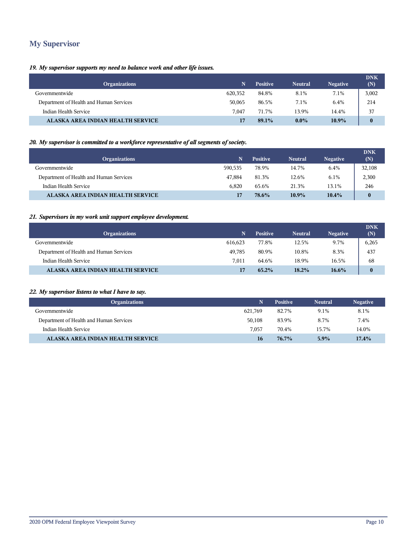## **My Supervisor**

#### *19. My supervisor supports my need to balance work and other life issues.*

| <b>Organizations</b>                    |         | <b>Positive</b> | <b>Neutral</b> | <b>Negative</b> | <b>DNK</b><br>(N) |
|-----------------------------------------|---------|-----------------|----------------|-----------------|-------------------|
| Governmentwide                          | 620,352 | 84.8%           | 8.1%           | 7.1%            | 3,002             |
| Department of Health and Human Services | 50.065  | 86.5%           | 7.1%           | 6.4%            | 214               |
| Indian Health Service                   | 7.047   | 71.7%           | 13.9%          | 14.4%           | 37                |
| ALASKA AREA INDIAN HEALTH SERVICE       |         | 89.1%           | $0.0\%$        | 10.9%           | $\mathbf{0}$      |

#### *20. My supervisor is committed to a workforce representative of all segments of society.*

| <b>Organizations</b>                    | 'N.     | <b>Positive</b> | <b>Neutral</b> | <b>Negative</b> | <b>DNK</b><br>(N) |
|-----------------------------------------|---------|-----------------|----------------|-----------------|-------------------|
| Governmentwide                          | 590.535 | 78.9%           | 14.7%          | 6.4%            | 32,108            |
| Department of Health and Human Services | 47.884  | 81.3%           | 12.6%          | 6.1%            | 2,300             |
| Indian Health Service                   | 6.820   | 65.6%           | 21.3%          | 13.1%           | 246               |
| ALASKA AREA INDIAN HEALTH SERVICE       | 17      | 78.6%           | $10.9\%$       | $10.4\%$        | $\bf{0}$          |

#### *21. Supervisors in my work unit support employee development.*

| <b>Organizations</b>                    |         | <b>Positive</b> | <b>Neutral</b> | <b>Negative</b> | <b>DNK</b><br>(N) |
|-----------------------------------------|---------|-----------------|----------------|-----------------|-------------------|
| Governmentwide                          | 616.623 | 77.8%           | 12.5%          | 9.7%            | 6,265             |
| Department of Health and Human Services | 49.785  | 80.9%           | 10.8%          | 8.3%            | 437               |
| Indian Health Service                   | 7.011   | 64.6%           | 18.9%          | 16.5%           | 68                |
| ALASKA AREA INDIAN HEALTH SERVICE       |         | $65.2\%$        | $18.2\%$       | $16.6\%$        | $\bf{0}$          |

#### *22. My supervisor listens to what I have to say.*

| <b>Organizations</b>                    | N       | <b>Positive</b> | <b>Neutral</b> | <b>Negative</b> |
|-----------------------------------------|---------|-----------------|----------------|-----------------|
| Governmentwide                          | 621.769 | 82.7%           | 9.1%           | 8.1%            |
| Department of Health and Human Services | 50.108  | 83.9%           | 8.7%           | 7.4%            |
| Indian Health Service                   | 7.057   | 70.4%           | 15.7%          | 14.0%           |
| ALASKA AREA INDIAN HEALTH SERVICE       | 16      | $76.7\%$        | 5.9%           | $17.4\%$        |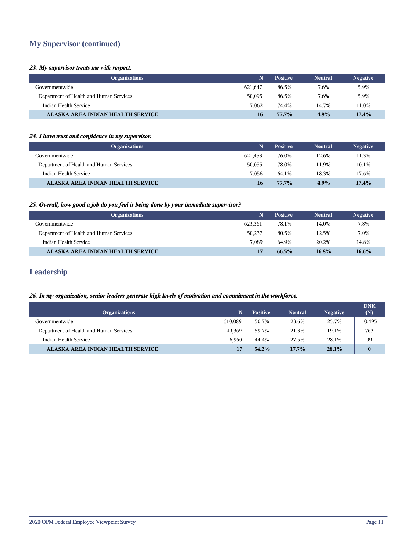## **My Supervisor (continued)**

#### *23. My supervisor treats me with respect.*

| <b>Organizations</b>                    |         | <b>Positive</b> | <b>Neutral</b> | <b>Negative</b> |
|-----------------------------------------|---------|-----------------|----------------|-----------------|
| Governmentwide                          | 621.647 | 86.5%           | 7.6%           | 5.9%            |
| Department of Health and Human Services | 50,095  | 86.5%           | 7.6%           | 5.9%            |
| Indian Health Service                   | 7.062   | 74.4%           | 14.7%          | 11.0%           |
| ALASKA AREA INDIAN HEALTH SERVICE       | 16      | $77.7\%$        | 4.9%           | 17.4%           |

#### *24. I have trust and confidence in my supervisor.*

| <b>Organizations</b>                    |         | <b>Positive</b> | <b>Neutral</b> | <b>Negative</b> |
|-----------------------------------------|---------|-----------------|----------------|-----------------|
| Governmentwide                          | 621.453 | 76.0%           | 12.6%          | 11.3%           |
| Department of Health and Human Services | 50,055  | 78.0%           | 11.9%          | 10.1%           |
| Indian Health Service                   | 7.056   | 64.1%           | 18.3%          | 17.6%           |
| ALASKA AREA INDIAN HEALTH SERVICE       | 16      | $77.7\%$        | 4.9%           | $17.4\%$        |

#### *25. Overall, how good a job do you feel is being done by your immediate supervisor?*

| <b>Organizations</b>                    |         | <b>Positive</b> | <b>Neutral</b> | <b>Negative</b> |
|-----------------------------------------|---------|-----------------|----------------|-----------------|
| Governmentwide                          | 623.361 | 78.1%           | 14.0%          | 7.8%            |
| Department of Health and Human Services | 50,237  | 80.5%           | 12.5%          | 7.0%            |
| Indian Health Service                   | 7.089   | 64.9%           | 20.2%          | 14.8%           |
| ALASKA AREA INDIAN HEALTH SERVICE       | 17      | $66.5\%$        | 16.8%          | $16.6\%$        |

## **Leadership**

#### *26. In my organization, senior leaders generate high levels of motivation and commitment in the workforce.*

| <b>Organizations</b>                    | 'N.     | <b>Positive</b> | <b>Neutral</b> | <b>Negative</b> | <b>DNK</b><br>(N) |
|-----------------------------------------|---------|-----------------|----------------|-----------------|-------------------|
| Governmentwide                          | 610.089 | 50.7%           | 23.6%          | 25.7%           | 10,495            |
| Department of Health and Human Services | 49.369  | 59.7%           | 21.3%          | 19.1%           | 763               |
| Indian Health Service                   | 6.960   | 44.4%           | 27.5%          | 28.1%           | 99                |
| ALASKA AREA INDIAN HEALTH SERVICE       | 17      | $54.2\%$        | $17.7\%$       | 28.1%           |                   |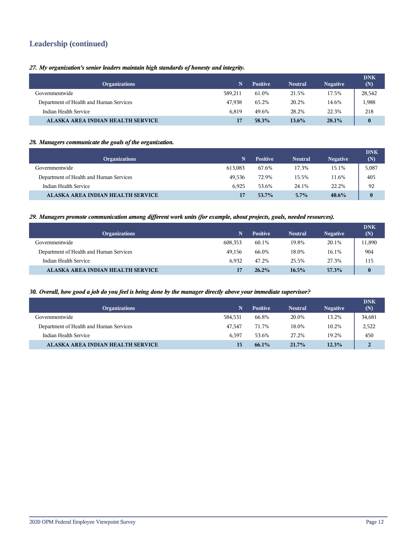## **Leadership (continued)**

#### *27. My organization's senior leaders maintain high standards of honesty and integrity.*

| <b>Organizations</b>                    | 'N.     | <b>Positive</b> | <b>Neutral</b> | <b>Negative</b> | <b>DNK</b><br>(N) |
|-----------------------------------------|---------|-----------------|----------------|-----------------|-------------------|
| Governmentwide                          | 589.211 | 61.0%           | 21.5%          | 17.5%           | 28,542            |
| Department of Health and Human Services | 47.938  | 65.2%           | 20.2%          | 14.6%           | 1,988             |
| Indian Health Service                   | 6.819   | 49.6%           | 28.2%          | 22.3%           | 218               |
| ALASKA AREA INDIAN HEALTH SERVICE       | 17      | 58.3%           | $13.6\%$       | 28.1%           | $\mathbf{0}$      |

#### *28. Managers communicate the goals of the organization.*

| <b>Organizations</b>                    |         | <b>Positive</b> | <b>Neutral</b> | <b>Negative</b> | <b>DNK</b><br>(N) |
|-----------------------------------------|---------|-----------------|----------------|-----------------|-------------------|
| Governmentwide                          | 613,083 | 67.6%           | 17.3%          | 15.1%           | 5,087             |
| Department of Health and Human Services | 49.536  | 72.9%           | 15.5%          | 11.6%           | 405               |
| Indian Health Service                   | 6.925   | 53.6%           | 24.1%          | 22.2%           | 92                |
| ALASKA AREA INDIAN HEALTH SERVICE       |         | 53.7%           | 5.7%           | $40.6\%$        | $\bf{0}$          |

#### *29. Managers promote communication among different work units (for example, about projects, goals, needed resources).*

| <b>Organizations</b>                    | N       | <b>Positive</b> | <b>Neutral</b> | <b>Negative</b> | <b>DNK</b><br>(N) |
|-----------------------------------------|---------|-----------------|----------------|-----------------|-------------------|
| Governmentwide                          | 608.353 | 60.1%           | 19.8%          | 20.1%           | 11,890            |
| Department of Health and Human Services | 49.156  | 66.0%           | 18.0%          | 16.1%           | 904               |
| Indian Health Service                   | 6.932   | 47.2%           | 25.5%          | 27.3%           | 115               |
| ALASKA AREA INDIAN HEALTH SERVICE       | 17      | 26.2%           | $16.5\%$       | 57.3%           | $\bf{0}$          |

#### *30. Overall, how good a job do you feel is being done by the manager directly above your immediate supervisor?*

| <b>Organizations</b>                    | 'N.     | <b>Positive</b> | <b>Neutral</b> | <b>Negative</b> | <b>DNK</b><br>(N) |
|-----------------------------------------|---------|-----------------|----------------|-----------------|-------------------|
| Governmentwide                          | 584.531 | 66.8%           | 20.0%          | 13.2%           | 34,681            |
| Department of Health and Human Services | 47.547  | 71.7%           | 18.0%          | 10.2%           | 2,522             |
| Indian Health Service                   | 6.597   | 53.6%           | 27.2%          | 19.2%           | 450               |
| ALASKA AREA INDIAN HEALTH SERVICE       | 15      | 66.1%           | $21.7\%$       | 12.3%           | $\overline{2}$    |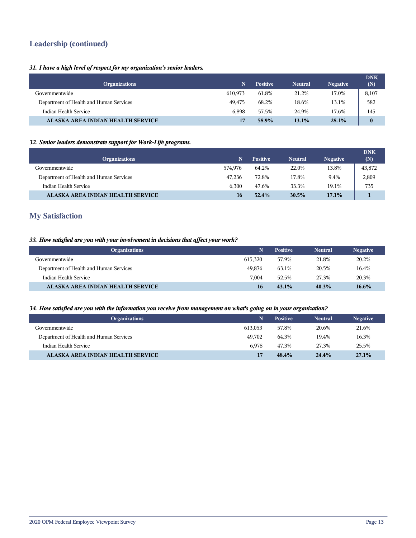## **Leadership (continued)**

#### *31. I have a high level of respect for my organization's senior leaders.*

| <b>Organizations</b>                    |         | <b>Positive</b> | <b>Neutral</b> | <b>Negative</b> | <b>DNK</b><br>(N) |
|-----------------------------------------|---------|-----------------|----------------|-----------------|-------------------|
| Governmentwide                          | 610.973 | 61.8%           | 21.2%          | 17.0%           | 8,107             |
| Department of Health and Human Services | 49.475  | 68.2%           | 18.6%          | 13.1%           | 582               |
| Indian Health Service                   | 6.898   | 57.5%           | 24.9%          | 17.6%           | 145               |
| ALASKA AREA INDIAN HEALTH SERVICE       |         | 58.9%           | 13.1%          | 28.1%           | $\mathbf{0}$      |

#### *32. Senior leaders demonstrate support for Work-Life programs.*

| <b>Organizations</b>                    | N       | <b>Positive</b> | <b>Neutral</b> | Negative | <b>DNK</b><br>(N) |
|-----------------------------------------|---------|-----------------|----------------|----------|-------------------|
| Governmentwide                          | 574.976 | 64.2%           | 22.0%          | 13.8%    | 43,872            |
| Department of Health and Human Services | 47.236  | 72.8%           | 17.8%          | 9.4%     | 2,809             |
| Indian Health Service                   | 6.300   | 47.6%           | 33.3%          | 19.1%    | 735               |
| ALASKA AREA INDIAN HEALTH SERVICE       | 16      | 52.4%           | 30.5%          | 17.1%    |                   |

## **My Satisfaction**

#### *33. How satisfied are you with your involvement in decisions that affect your work?*

| <b>Organizations</b>                    | N       | <b>Positive</b> | <b>Neutral</b> | <b>Negative</b> |
|-----------------------------------------|---------|-----------------|----------------|-----------------|
| Governmentwide                          | 615.320 | 57.9%           | 21.8%          | 20.2%           |
| Department of Health and Human Services | 49.876  | 63.1%           | 20.5%          | 16.4%           |
| Indian Health Service                   | 7.004   | 52.5%           | 27.3%          | 20.3%           |
| ALASKA AREA INDIAN HEALTH SERVICE       | 16      | $43.1\%$        | 40.3%          | $16.6\%$        |

#### *34. How satisfied are you with the information you receive from management on what's going on in your organization?*

| <b>Organizations</b>                    | N       | <b>Positive</b> | <b>Neutral</b> | <b>Negative</b> |
|-----------------------------------------|---------|-----------------|----------------|-----------------|
| Governmentwide                          | 613.053 | 57.8%           | 20.6%          | 21.6%           |
| Department of Health and Human Services | 49.702  | 64.3%           | 19.4%          | 16.3%           |
| Indian Health Service                   | 6.978   | 47.3%           | 27.3%          | 25.5%           |
| ALASKA AREA INDIAN HEALTH SERVICE       | 17      | 48.4%           | 24.4%          | 27.1%           |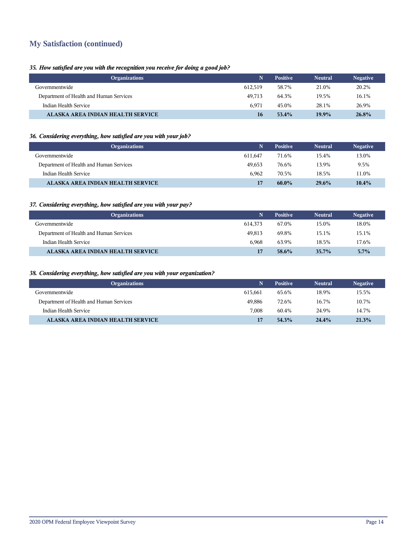## **My Satisfaction (continued)**

#### *35. How satisfied are you with the recognition you receive for doing a good job?*

| <b>Organizations</b>                    | N       | <b>Positive</b> | <b>Neutral</b> | <b>Negative</b> |
|-----------------------------------------|---------|-----------------|----------------|-----------------|
| Governmentwide                          | 612.519 | 58.7%           | 21.0%          | 20.2%           |
| Department of Health and Human Services | 49.713  | 64.3%           | 19.5%          | 16.1%           |
| Indian Health Service                   | 6.971   | 45.0%           | 28.1%          | 26.9%           |
| ALASKA AREA INDIAN HEALTH SERVICE       | 16      | $53.4\%$        | $19.9\%$       | 26.8%           |

#### *36. Considering everything, how satisfied are you with your job?*

| <b>Organizations</b>                    |         | <b>Positive</b> | <b>Neutral</b> | <b>Negative</b> |
|-----------------------------------------|---------|-----------------|----------------|-----------------|
| Governmentwide                          | 611.647 | 71.6%           | 15.4%          | 13.0%           |
| Department of Health and Human Services | 49.653  | 76.6%           | 13.9%          | 9.5%            |
| Indian Health Service                   | 6.962   | 70.5%           | 18.5%          | 11.0%           |
| ALASKA AREA INDIAN HEALTH SERVICE       | 17      | $60.0\%$        | 29.6%          | $10.4\%$        |

#### *37. Considering everything, how satisfied are you with your pay?*

| <b>Organizations</b>                    |         | <b>Positive</b> | <b>Neutral</b> | <b>Negative</b> |
|-----------------------------------------|---------|-----------------|----------------|-----------------|
| Governmentwide                          | 614.373 | 67.0%           | 15.0%          | 18.0%           |
| Department of Health and Human Services | 49.813  | 69.8%           | 15.1%          | 15.1%           |
| Indian Health Service                   | 6.968   | 63.9%           | 18.5%          | 17.6%           |
| ALASKA AREA INDIAN HEALTH SERVICE       | -17     | 58.6%           | $35.7\%$       | 5.7%            |

#### *38. Considering everything, how satisfied are you with your organization?*

| <b>Organizations</b>                    | N       | <b>Positive</b> | <b>Neutral</b> | <b>Negative</b> |
|-----------------------------------------|---------|-----------------|----------------|-----------------|
| Governmentwide                          | 615.661 | 65.6%           | 18.9%          | 15.5%           |
| Department of Health and Human Services | 49.886  | 72.6%           | 16.7%          | 10.7%           |
| Indian Health Service                   | 7.008   | 60.4%           | 24.9%          | 14.7%           |
| ALASKA AREA INDIAN HEALTH SERVICE       | 17      | $54.3\%$        | 24.4%          | 21.3%           |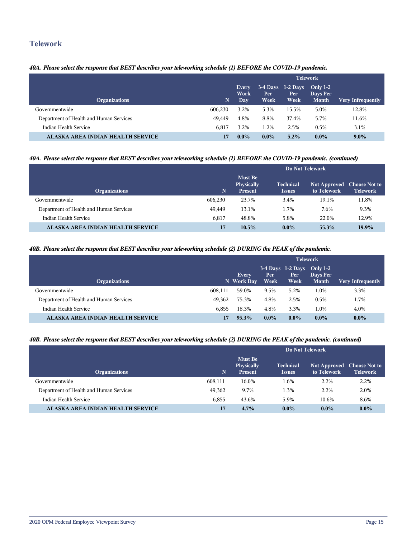## **Telework**

#### *40A. Please select the response that BEST describes your teleworking schedule (1) BEFORE the COVID-19 pandemic.*

|                                         |         | <b>Telework</b>                    |                    |                                    |                                             |                   |  |
|-----------------------------------------|---------|------------------------------------|--------------------|------------------------------------|---------------------------------------------|-------------------|--|
| <b>Organizations</b>                    | N       | <b>Every</b><br>Work<br><b>Day</b> | <b>Per</b><br>Week | $3-4$ Days 1-2 Days<br>Per<br>Week | <b>Only 1-2</b><br>Days Per<br><b>Month</b> | Very Infrequently |  |
| Governmentwide                          | 606.230 | 3.2%                               | 5.3%               | 15.5%                              | 5.0%                                        | 12.8%             |  |
| Department of Health and Human Services | 49.449  | 4.8%                               | 8.8%               | 37.4%                              | 5.7%                                        | 11.6%             |  |
| Indian Health Service                   | 6.817   | 3.2%                               | 1.2%               | 2.5%                               | 0.5%                                        | 3.1%              |  |
| ALASKA AREA INDIAN HEALTH SERVICE       |         | $0.0\%$                            | $0.0\%$            | 5.2%                               | $0.0\%$                                     | $9.0\%$           |  |

#### *40A. Please select the response that BEST describes your teleworking schedule (1) BEFORE the COVID-19 pandemic. (continued)*

|                                         |         | Do Not Telework                                |                                   |                                           |                 |  |
|-----------------------------------------|---------|------------------------------------------------|-----------------------------------|-------------------------------------------|-----------------|--|
| <b>Organizations</b>                    | 'N.     | <b>Must Be</b><br><b>Physically</b><br>Present | <b>Technical</b><br><b>Issues</b> | Not Approved Choose Not to<br>to Telework | <b>Telework</b> |  |
| Governmentwide                          | 606.230 | 23.7%                                          | 3.4%                              | 19.1%                                     | 11.8%           |  |
| Department of Health and Human Services | 49.449  | 13.1%                                          | 1.7%                              | 7.6%                                      | 9.3%            |  |
| Indian Health Service                   | 6.817   | 48.8%                                          | 5.8%                              | 22.0%                                     | 12.9%           |  |
| ALASKA AREA INDIAN HEALTH SERVICE       | 17      | $10.5\%$                                       | $0.0\%$                           | 55.3%                                     | 19.9%           |  |

#### *40B. Please select the response that BEST describes your teleworking schedule (2) DURING the PEAK of the pandemic.*

|                                         |         | <b>Telework</b>            |             |                                                 |                          |                          |  |
|-----------------------------------------|---------|----------------------------|-------------|-------------------------------------------------|--------------------------|--------------------------|--|
| <b>Organizations</b>                    |         | <b>Every</b><br>N Work Day | Per<br>Week | $3-4$ Days $1-2$ Days Only $1-2$<br>Per<br>Week | Days Per<br><b>Month</b> | <b>Very Infrequently</b> |  |
| Governmentwide                          | 608.111 | 59.0%                      | 9.5%        | 5.2%                                            | 1.0%                     | 3.3%                     |  |
| Department of Health and Human Services | 49.362  | 75.3%                      | 4.8%        | 2.5%                                            | $0.5\%$                  | 1.7%                     |  |
| Indian Health Service                   | 6.855   | 18.3%                      | 4.8%        | 3.3%                                            | 1.0%                     | 4.0%                     |  |
| ALASKA AREA INDIAN HEALTH SERVICE       | 17      | 95.3%                      | $0.0\%$     | $0.0\%$                                         | $0.0\%$                  | $0.0\%$                  |  |

#### *40B. Please select the response that BEST describes your teleworking schedule (2) DURING the PEAK of the pandemic. (continued)*

|                                         |         | Do Not Telework                                       |                                   |                                           |                 |  |  |
|-----------------------------------------|---------|-------------------------------------------------------|-----------------------------------|-------------------------------------------|-----------------|--|--|
| <b>Organizations</b>                    | N       | <b>Must Be</b><br><b>Physically</b><br><b>Present</b> | <b>Technical</b><br><b>Issues</b> | Not Approved Choose Not to<br>to Telework | <b>Telework</b> |  |  |
| Governmentwide                          | 608,111 | 16.0%                                                 | 1.6%                              | 2.2%                                      | 2.2%            |  |  |
| Department of Health and Human Services | 49,362  | 9.7%                                                  | 1.3%                              | 2.2%                                      | 2.0%            |  |  |
| Indian Health Service                   | 6.855   | 43.6%                                                 | 5.9%                              | 10.6%                                     | 8.6%            |  |  |
| ALASKA AREA INDIAN HEALTH SERVICE       | 17      | $4.7\%$                                               | $0.0\%$                           | $0.0\%$                                   | $0.0\%$         |  |  |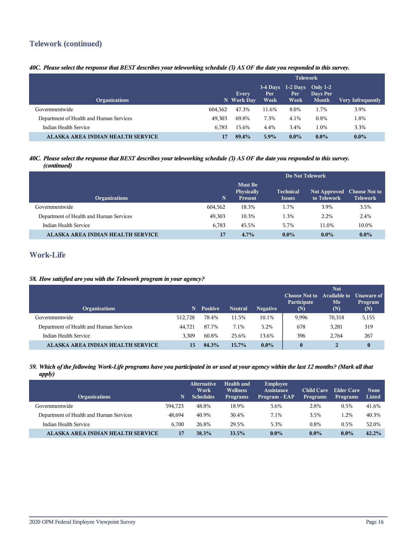## **Telework (continued)**

#### *40C. Please select the response that BEST describes your teleworking schedule (3) AS OF the date you responded to this survey.*

|                                         |         | <b>Telework</b>     |              |                                                 |                          |                          |
|-----------------------------------------|---------|---------------------|--------------|-------------------------------------------------|--------------------------|--------------------------|
| <b>Organizations</b>                    |         | Every<br>N Work Day | Per.<br>Week | $3-4$ Days $1-2$ Days Only $1-2$<br>Per<br>Week | Days Per<br><b>Month</b> | <b>Very Infrequently</b> |
| Governmentwide                          | 604.562 | 47.3%               | 11.6%        | 8.0%                                            | 1.7%                     | 3.9%                     |
| Department of Health and Human Services | 49.303  | 69.8%               | 7.3%         | 4.1%                                            | $0.8\%$                  | 1.8%                     |
| Indian Health Service                   | 6.783   | 15.6%               | 4.4%         | 3.4%                                            | 1.0%                     | 3.3%                     |
| ALASKA AREA INDIAN HEALTH SERVICE       | 17      | 89.4%               | 5.9%         | $0.0\%$                                         | $0.0\%$                  | $0.0\%$                  |

#### *40C. Please select the response that BEST describes your teleworking schedule (3) AS OF the date you responded to this survey. (continued)*

|                                         |         | Do Not Telework                                       |                                   |                                           |                 |  |  |
|-----------------------------------------|---------|-------------------------------------------------------|-----------------------------------|-------------------------------------------|-----------------|--|--|
| <b>Organizations</b>                    | N       | <b>Must Be</b><br><b>Physically</b><br><b>Present</b> | <b>Technical</b><br><b>Issues</b> | Not Approved Choose Not to<br>to Telework | <b>Telework</b> |  |  |
| Governmentwide                          | 604,562 | 18.3%                                                 | 1.7%                              | 3.9%                                      | 3.5%            |  |  |
| Department of Health and Human Services | 49.303  | 10.3%                                                 | 1.3%                              | 2.2%                                      | 2.4%            |  |  |
| Indian Health Service                   | 6,783   | 45.5%                                                 | 5.7%                              | 11.0%                                     | 10.0%           |  |  |
| ALASKA AREA INDIAN HEALTH SERVICE       | 17      | 4.7%                                                  | $0.0\%$                           | $0.0\%$                                   | $0.0\%$         |  |  |

## **Work-Life**

#### *58. How satisfied are you with the Telework program in your agency?*

| <b>Organizations</b>                    | N       | <b>Positive</b> | <b>Neutral</b> | <b>Negative</b> | <b>Choose Not to</b><br>Participate<br>(N) | <b>Not</b><br><b>Available to</b><br>Me<br>(N) | <b>Unaware of</b><br>Program<br>(N) |
|-----------------------------------------|---------|-----------------|----------------|-----------------|--------------------------------------------|------------------------------------------------|-------------------------------------|
| Governmentwide                          | 512.728 | 78.4%           | 11.5%          | 10.1%           | 9.996                                      | 70,318                                         | 5,155                               |
| Department of Health and Human Services | 44.721  | 87.7%           | 7.1%           | 5.2%            | 678                                        | 3,281                                          | 319                                 |
| Indian Health Service                   | 3.309   | 60.8%           | 25.6%          | 13.6%           | 396                                        | 2.764                                          | 267                                 |
| ALASKA AREA INDIAN HEALTH SERVICE       | 15      | 84.3%           | 15.7%          | $0.0\%$         |                                            |                                                | $\bf{0}$                            |

#### *59. Which of the following Work-Life programs have you participated in or used at your agency within the last 12 months? (Mark all that apply)*

| <b>Organizations</b>                    | N.      | <b>Alternative</b><br>Work<br><b>Schedules</b> | Health and<br><b>Wellness</b><br><b>Programs</b> | <b>Employee</b><br><b>Assistance</b><br>Program - EAP | <b>Child Care</b><br><b>Programs</b> | Elder Care<br><b>Programs</b> | <b>None</b><br>Listed |
|-----------------------------------------|---------|------------------------------------------------|--------------------------------------------------|-------------------------------------------------------|--------------------------------------|-------------------------------|-----------------------|
| Governmentwide                          | 594.723 | 48.8%                                          | 18.9%                                            | 5.6%                                                  | 2.8%                                 | 0.5%                          | 41.6%                 |
| Department of Health and Human Services | 48.694  | 40.9%                                          | 30.4%                                            | 7.1%                                                  | $3.5\%$                              | 1.2%                          | 40.3%                 |
| Indian Health Service                   | 6.700   | 26.8%                                          | 29.5%                                            | 5.3%                                                  | 0.8%                                 | 0.5%                          | 52.0%                 |
| ALASKA AREA INDIAN HEALTH SERVICE       | 17      | 38.3%                                          | 33.5%                                            | $0.0\%$                                               | $0.0\%$                              | $0.0\%$                       | 42.2%                 |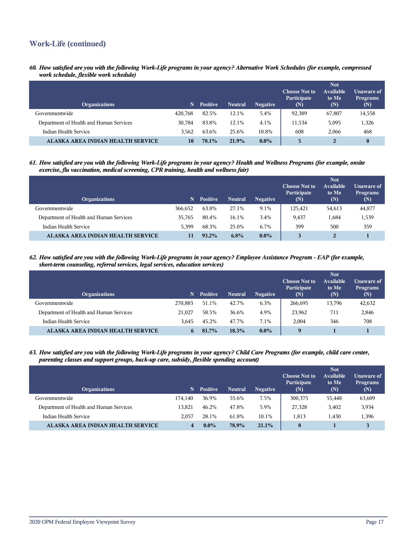## **Work-Life (continued)**

*60. How satisfied are you with the following Work-Life programs in your agency? Alternative Work Schedules (for example, compressed work schedule, flexible work schedule)*

| <b>Organizations</b>                    | 'N.     | <b>Positive</b> | <b>Neutral</b> | <b>Negative</b> | <b>Choose Not to</b><br>Participate<br>(N) | <b>Not</b><br><b>Available</b><br>to Me<br>(N) | Unaware of<br><b>Programs</b><br>(N) |
|-----------------------------------------|---------|-----------------|----------------|-----------------|--------------------------------------------|------------------------------------------------|--------------------------------------|
| Governmentwide                          | 420,768 | 82.5%           | 12.1%          | 5.4%            | 92,389                                     | 67,807                                         | 14,558                               |
| Department of Health and Human Services | 30.784  | 83.8%           | 12.1%          | 4.1%            | 11,534                                     | 5,095                                          | 1,326                                |
| Indian Health Service                   | 3.562   | 63.6%           | 25.6%          | 10.8%           | 608                                        | 2.066                                          | 468                                  |
| ALASKA AREA INDIAN HEALTH SERVICE       | 10      | 78.1%           | 21.9%          | $0.0\%$         |                                            |                                                | $\bf{0}$                             |

*61. How satisfied are you with the following Work-Life programs in your agency? Health and Wellness Programs (for example, onsite exercise, flu vaccination, medical screening, CPR training, health and wellness fair)*

| <b>Organizations</b>                    | N       | <b>Positive</b> | <b>Neutral</b> | <b>Negative</b> | <b>Choose Not to</b><br>Participate<br>(N) | <b>Not</b><br><b>Available</b><br>to Me<br>(N) | Unaware of<br><b>Programs</b><br>(N) |
|-----------------------------------------|---------|-----------------|----------------|-----------------|--------------------------------------------|------------------------------------------------|--------------------------------------|
| Governmentwide                          | 366.652 | 63.8%           | 27.1%          | 9.1%            | 125.421                                    | 54,613                                         | 44,877                               |
| Department of Health and Human Services | 35,765  | 80.4%           | 16.1%          | 3.4%            | 9,437                                      | 1,684                                          | 1,539                                |
| Indian Health Service                   | 5.399   | 68.3%           | 25.0%          | 6.7%            | 399                                        | 500                                            | 359                                  |
| ALASKA AREA INDIAN HEALTH SERVICE       |         | $93.2\%$        | $6.8\%$        | $0.0\%$         |                                            | $\overline{2}$                                 |                                      |

*62. How satisfied are you with the following Work-Life programs in your agency? Employee Assistance Program - EAP (for example, short-term counseling, referral services, legal services, education services)*

| <b>Organizations</b>                    | N       | <b>Positive</b> | <b>Neutral</b> | <b>Negative</b> | <b>Choose Not to</b><br>Participate<br>(N) | <b>Not</b><br>Available<br>to Me<br>(N) | Unaware of<br><b>Programs</b><br>(N) |
|-----------------------------------------|---------|-----------------|----------------|-----------------|--------------------------------------------|-----------------------------------------|--------------------------------------|
| Governmentwide                          | 270,883 | 51.1%           | 42.7%          | 6.3%            | 266,695                                    | 13,796                                  | 42,632                               |
| Department of Health and Human Services | 21,027  | 58.5%           | 36.6%          | 4.9%            | 23,962                                     | 711                                     | 2,846                                |
| Indian Health Service                   | 3.645   | 45.2%           | 47.7%          | $7.1\%$         | 2.004                                      | 346                                     | 708                                  |
| ALASKA AREA INDIAN HEALTH SERVICE       |         | 81.7%           | 18.3%          | $0.0\%$         | 9                                          |                                         |                                      |

*63. How satisfied are you with the following Work-Life programs in your agency? Child Care Programs (for example, child care center, parenting classes and support groups, back-up care, subsidy, flexible spending account)*

| <b>Organizations</b>                    | N       | <b>Positive</b> | <b>Neutral</b> | <b>Negative</b> | <b>Choose Not to</b><br>Participate<br>(N) | <b>Not</b><br>Available<br>to Me<br>(N) | <b>Unaware of</b><br><b>Programs</b><br>(N) |
|-----------------------------------------|---------|-----------------|----------------|-----------------|--------------------------------------------|-----------------------------------------|---------------------------------------------|
| Governmentwide                          | 174.140 | 36.9%           | 55.6%          | 7.5%            | 300,375                                    | 55,448                                  | 63,609                                      |
| Department of Health and Human Services | 13.821  | 46.2%           | 47.8%          | 5.9%            | 27,328                                     | 3,402                                   | 3,934                                       |
| Indian Health Service                   | 2.057   | 28.1%           | 61.8%          | 10.1%           | 1,813                                      | 1.430                                   | 1,396                                       |
| ALASKA AREA INDIAN HEALTH SERVICE       |         | $0.0\%$         | 78.9%          | 21.1%           | 8                                          |                                         |                                             |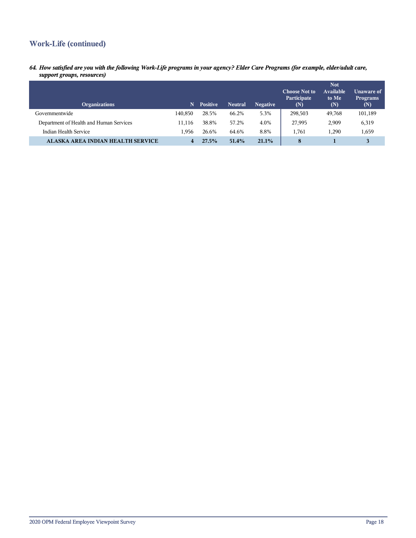## **Work-Life (continued)**

*64. How satisfied are you with the following Work-Life programs in your agency? Elder Care Programs (for example, elder/adult care, support groups, resources)*

| <b>Organizations</b>                    | N       | <b>Positive</b> | <b>Neutral</b> | <b>Negative</b> | <b>Choose Not to</b><br>Participate<br>(N) | <b>Not</b><br>Available<br>to Me<br>(N) | Unaware of<br><b>Programs</b><br>$(\mathsf{N})$ |
|-----------------------------------------|---------|-----------------|----------------|-----------------|--------------------------------------------|-----------------------------------------|-------------------------------------------------|
| Governmentwide                          | 140.850 | 28.5%           | 66.2%          | 5.3%            | 298,503                                    | 49,768                                  | 101,189                                         |
| Department of Health and Human Services | 11,116  | 38.8%           | 57.2%          | 4.0%            | 27,995                                     | 2,909                                   | 6,319                                           |
| Indian Health Service                   | 1.956   | 26.6%           | 64.6%          | 8.8%            | 1,761                                      | 1.290                                   | 1,659                                           |
| ALASKA AREA INDIAN HEALTH SERVICE       |         | 27.5%           | 51.4%          | $21.1\%$        | 8                                          |                                         |                                                 |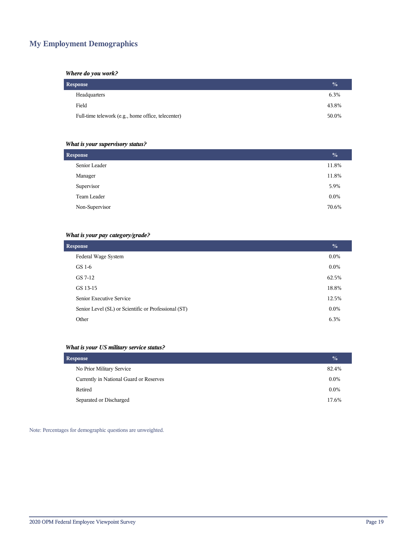## **My Employment Demographics**

#### *Where do you work?*

| Response                                           | $\frac{0}{2}$ |
|----------------------------------------------------|---------------|
| Headquarters                                       | 6.3%          |
| Field                                              | 43.8%         |
| Full-time telework (e.g., home office, telecenter) | 50.0%         |

#### *What is your supervisory status?*

| <b>Response</b> | $\frac{6}{6}$ |
|-----------------|---------------|
| Senior Leader   | 11.8%         |
| Manager         | 11.8%         |
| Supervisor      | 5.9%          |
| Team Leader     | $0.0\%$       |
| Non-Supervisor  | 70.6%         |

#### *What is your pay category/grade?*

| <b>Response</b>                                      | $\frac{0}{0}$ |
|------------------------------------------------------|---------------|
| Federal Wage System                                  | $0.0\%$       |
| GS 1-6                                               | $0.0\%$       |
| GS 7-12                                              | 62.5%         |
| GS 13-15                                             | 18.8%         |
| Senior Executive Service                             | 12.5%         |
| Senior Level (SL) or Scientific or Professional (ST) | $0.0\%$       |
| Other                                                | 6.3%          |

#### *What is your US military service status?*

| <b>Response</b>                         | $\frac{0}{0}$ |
|-----------------------------------------|---------------|
| No Prior Military Service               | 82.4%         |
| Currently in National Guard or Reserves | $0.0\%$       |
| Retired                                 | $0.0\%$       |
| Separated or Discharged                 | 17.6%         |

Note: Percentages for demographic questions are unweighted.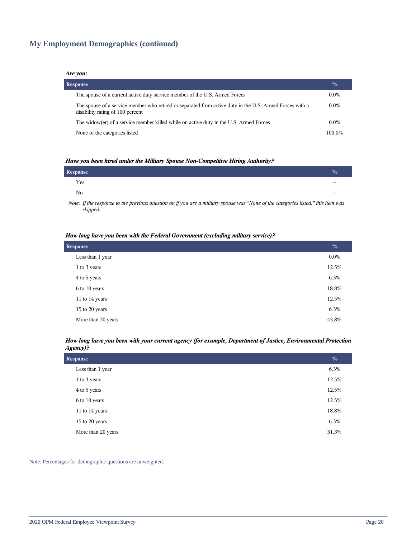## **My Employment Demographics (continued)**

#### *Are you:*

| <b>Response</b> |                                                                                                                                              | $\frac{0}{0}$ |
|-----------------|----------------------------------------------------------------------------------------------------------------------------------------------|---------------|
|                 | The spouse of a current active duty service member of the U.S. Armed Forces                                                                  | $0.0\%$       |
|                 | The spouse of a service member who retired or separated from active duty in the U.S. Armed Forces with a<br>disability rating of 100 percent | $0.0\%$       |
|                 | The widow(er) of a service member killed while on active duty in the U.S. Armed Forces                                                       | $0.0\%$       |
|                 | None of the categories listed                                                                                                                | 100.0%        |

#### *Have you been hired under the Military Spouse Non-Competitive Hiring Authority?*

| Response       |       |
|----------------|-------|
| Yes            | $- -$ |
| N <sub>0</sub> | $- -$ |
|                |       |

*Note: If the response to the previous question on if you are a military spouse was "None of the categories listed," this item was skipped.*

#### *How long have you been with the Federal Government (excluding military service)?*

| Response           |         |
|--------------------|---------|
| Less than 1 year   | $0.0\%$ |
| 1 to 3 years       | 12.5%   |
| 4 to 5 years       | 6.3%    |
| 6 to 10 years      | 18.8%   |
| 11 to 14 years     | 12.5%   |
| 15 to 20 years     | 6.3%    |
| More than 20 years | 43.8%   |

#### *How long have you been with your current agency (for example, Department of Justice, Environmental Protection Agency)?*

| <b>Response</b>    |       |
|--------------------|-------|
| Less than 1 year   | 6.3%  |
| 1 to 3 years       | 12.5% |
| 4 to 5 years       | 12.5% |
| 6 to 10 years      | 12.5% |
| 11 to 14 years     | 18.8% |
| 15 to 20 years     | 6.3%  |
| More than 20 years | 31.3% |

Note: Percentages for demographic questions are unweighted.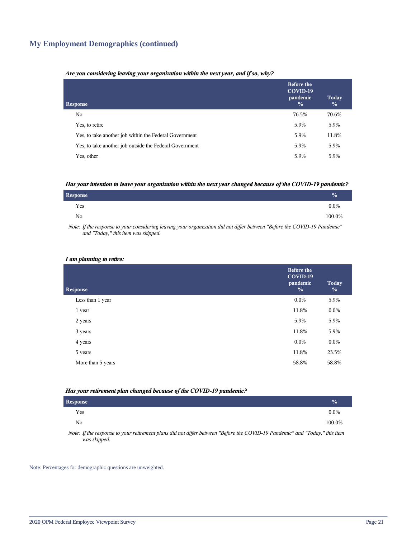## **My Employment Demographics (continued)**

#### *Are you considering leaving your organization within the next year, and if so, why?*

| <b>Response</b>                                         | <b>Before the</b><br>COVID-19<br>pandemic<br>$\frac{0}{0}$ | Today<br>$\frac{0}{0}$ |
|---------------------------------------------------------|------------------------------------------------------------|------------------------|
| No.                                                     | 76.5%                                                      | 70.6%                  |
| Yes, to retire                                          | 5.9%                                                       | 5.9%                   |
| Yes, to take another job within the Federal Government  | 5.9%                                                       | 11.8%                  |
| Yes, to take another job outside the Federal Government | 5.9%                                                       | 5.9%                   |
| Yes, other                                              | 5.9%                                                       | 5.9%                   |

#### *Has your intention to leave your organization within the next year changed because of the COVID-19 pandemic?*

| <b>Response</b> | $\frac{0}{0}$ |
|-----------------|---------------|
| Yes             | $0.0\%$       |
| No              | 100.0%        |

*Note: If the response to your considering leaving your organization did not differ between "Before the COVID-19 Pandemic" and "Today," this item was skipped.*

#### *I am planning to retire:*

| <b>Response</b>   | <b>Before the</b><br>COVID-19<br>pandemic<br>$\frac{0}{0}$ | Today<br>$\frac{0}{0}$ |
|-------------------|------------------------------------------------------------|------------------------|
| Less than 1 year  | $0.0\%$                                                    | 5.9%                   |
| 1 year            | 11.8%                                                      | $0.0\%$                |
| 2 years           | 5.9%                                                       | 5.9%                   |
| 3 years           | 11.8%                                                      | 5.9%                   |
| 4 years           | $0.0\%$                                                    | $0.0\%$                |
| 5 years           | 11.8%                                                      | 23.5%                  |
| More than 5 years | 58.8%                                                      | 58.8%                  |
|                   |                                                            |                        |

#### *Has your retirement plan changed because of the COVID-19 pandemic?*

| Response                                                                                                                      | $\mathcal{O}_0$ |
|-------------------------------------------------------------------------------------------------------------------------------|-----------------|
| Yes                                                                                                                           | $0.0\%$         |
| No                                                                                                                            | 100.0%          |
| Mater Hilly non root to communicate and along Hill and HPan bakengan HD afang the COMD 10 Day Jami'all and HTs Jam Hilly itam |                 |

*Note: If the response to your retirement plans did not differ between "Before the COVID-19 Pandemic" and "Today," this item was skipped.*

Note: Percentages for demographic questions are unweighted.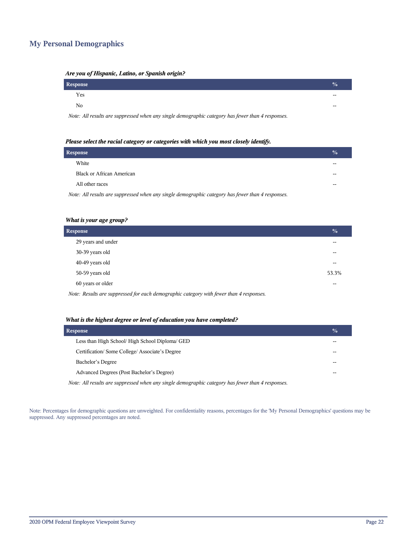### **My Personal Demographics**

| <i>me you of mapame</i> , <i>mano</i> , <i>or spansic</i> origin.                                 |               |  |
|---------------------------------------------------------------------------------------------------|---------------|--|
| <b>Response</b>                                                                                   | $\frac{0}{0}$ |  |
| Yes                                                                                               |               |  |
| No                                                                                                |               |  |
| Note: All results are suppressed when any single demographic category has fewer than 4 responses. |               |  |

#### *Are you of Hispanic, Latino, or Spanish origin?*

| Please select the racial category or categories with which you most closely identify. |  |
|---------------------------------------------------------------------------------------|--|

| <b>Response</b>                                                                                   |  |
|---------------------------------------------------------------------------------------------------|--|
| White                                                                                             |  |
| <b>Black or African American</b>                                                                  |  |
| All other races                                                                                   |  |
| Note: All results are suppressed when any single demographic category has fewer than 4 responses. |  |

#### *What is your age group?*

| <b>Response</b>    |       |
|--------------------|-------|
| 29 years and under | --    |
| 30-39 years old    | --    |
| 40-49 years old    | --    |
| 50-59 years old    | 53.3% |
| 60 years or older  | --    |
|                    |       |

*Note: Results are suppressed for each demographic category with fewer than 4 responses.*

#### *What is the highest degree or level of education you have completed?*

| <b>Response</b>                                                                                   | $\frac{0}{0}$ |
|---------------------------------------------------------------------------------------------------|---------------|
| Less than High School/ High School Diploma/ GED                                                   |               |
| Certification/Some College/Associate's Degree                                                     |               |
| Bachelor's Degree                                                                                 |               |
| Advanced Degrees (Post Bachelor's Degree)                                                         |               |
| Note: All results are suppressed when any single demographic category has fewer than 4 responses. |               |

Note: Percentages for demographic questions are unweighted. For confidentiality reasons, percentages for the 'My Personal Demographics' questions may be suppressed. Any suppressed percentages are noted.